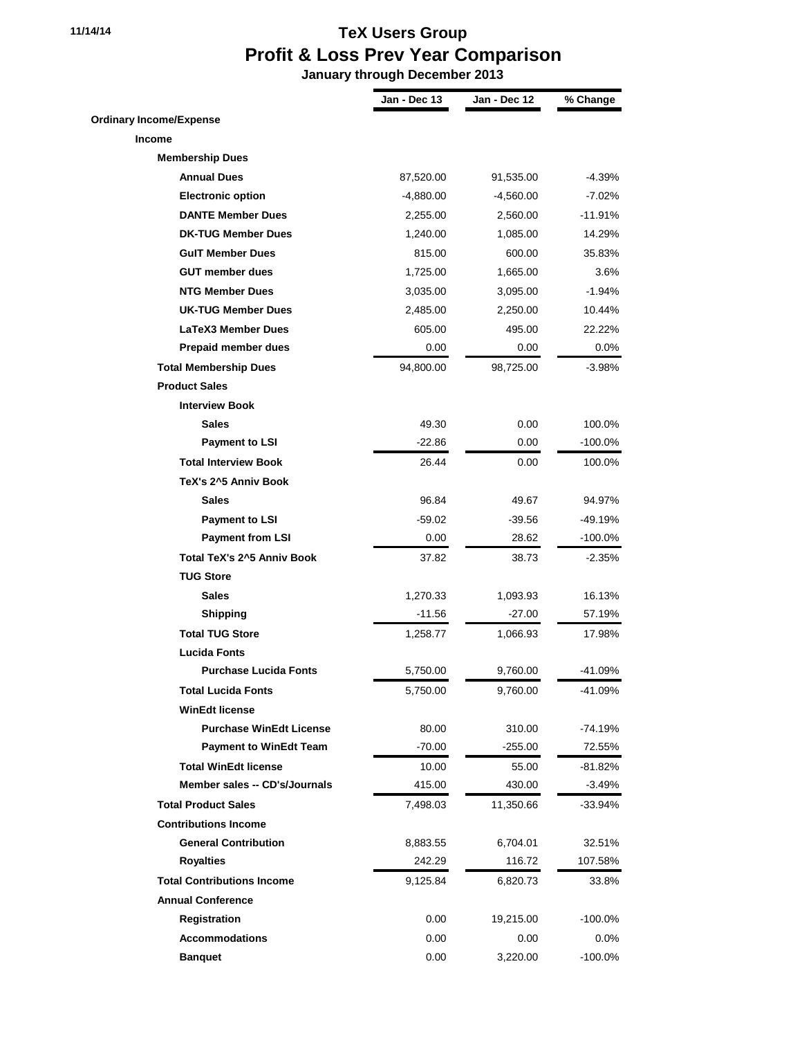## **11/14/14 TeX Users Group Profit & Loss Prev Year Comparison**

 **January through December 2013**

|                                   | Jan - Dec 13 | Jan - Dec 12 | % Change   |
|-----------------------------------|--------------|--------------|------------|
| <b>Ordinary Income/Expense</b>    |              |              |            |
| <b>Income</b>                     |              |              |            |
| <b>Membership Dues</b>            |              |              |            |
| <b>Annual Dues</b>                | 87,520.00    | 91,535.00    | -4.39%     |
| <b>Electronic option</b>          | $-4,880.00$  | $-4,560.00$  | $-7.02%$   |
| <b>DANTE Member Dues</b>          | 2,255.00     | 2,560.00     | $-11.91%$  |
| <b>DK-TUG Member Dues</b>         | 1,240.00     | 1,085.00     | 14.29%     |
| <b>GulT Member Dues</b>           | 815.00       | 600.00       | 35.83%     |
| <b>GUT member dues</b>            | 1,725.00     | 1,665.00     | 3.6%       |
| <b>NTG Member Dues</b>            | 3,035.00     | 3,095.00     | -1.94%     |
| <b>UK-TUG Member Dues</b>         | 2,485.00     | 2,250.00     | 10.44%     |
| <b>LaTeX3 Member Dues</b>         | 605.00       | 495.00       | 22.22%     |
| Prepaid member dues               | 0.00         | 0.00         | $0.0\%$    |
| <b>Total Membership Dues</b>      | 94,800.00    | 98,725.00    | -3.98%     |
| <b>Product Sales</b>              |              |              |            |
| <b>Interview Book</b>             |              |              |            |
| <b>Sales</b>                      | 49.30        | 0.00         | 100.0%     |
| <b>Payment to LSI</b>             | $-22.86$     | 0.00         | $-100.0\%$ |
| <b>Total Interview Book</b>       | 26.44        | 0.00         | 100.0%     |
| TeX's 2^5 Anniv Book              |              |              |            |
| <b>Sales</b>                      | 96.84        | 49.67        | 94.97%     |
| <b>Payment to LSI</b>             | $-59.02$     | $-39.56$     | -49.19%    |
| <b>Payment from LSI</b>           | 0.00         | 28.62        | $-100.0\%$ |
| <b>Total TeX's 2^5 Anniv Book</b> | 37.82        | 38.73        | -2.35%     |
| <b>TUG Store</b>                  |              |              |            |
| <b>Sales</b>                      | 1,270.33     | 1,093.93     | 16.13%     |
| <b>Shipping</b>                   | $-11.56$     | $-27.00$     | 57.19%     |
| <b>Total TUG Store</b>            | 1,258.77     | 1,066.93     | 17.98%     |
| <b>Lucida Fonts</b>               |              |              |            |
| <b>Purchase Lucida Fonts</b>      | 5,750.00     | 9,760.00     | -41.09%    |
| <b>Total Lucida Fonts</b>         | 5,750.00     | 9,760.00     | $-41.09%$  |
| <b>WinEdt license</b>             |              |              |            |
| <b>Purchase WinEdt License</b>    | 80.00        | 310.00       | $-74.19%$  |
| <b>Payment to WinEdt Team</b>     | $-70.00$     | -255.00      | 72.55%     |
| <b>Total WinEdt license</b>       | 10.00        | 55.00        | -81.82%    |
| Member sales -- CD's/Journals     | 415.00       | 430.00       | $-3.49%$   |
| <b>Total Product Sales</b>        | 7,498.03     | 11,350.66    | $-33.94%$  |
| <b>Contributions Income</b>       |              |              |            |
| <b>General Contribution</b>       | 8,883.55     | 6,704.01     | 32.51%     |
| <b>Royalties</b>                  | 242.29       | 116.72       | 107.58%    |
| <b>Total Contributions Income</b> | 9,125.84     | 6,820.73     | 33.8%      |
| <b>Annual Conference</b>          |              |              |            |
| Registration                      | 0.00         | 19,215.00    | $-100.0\%$ |
| <b>Accommodations</b>             | 0.00         | 0.00         | 0.0%       |
| <b>Banquet</b>                    | 0.00         | 3,220.00     | $-100.0\%$ |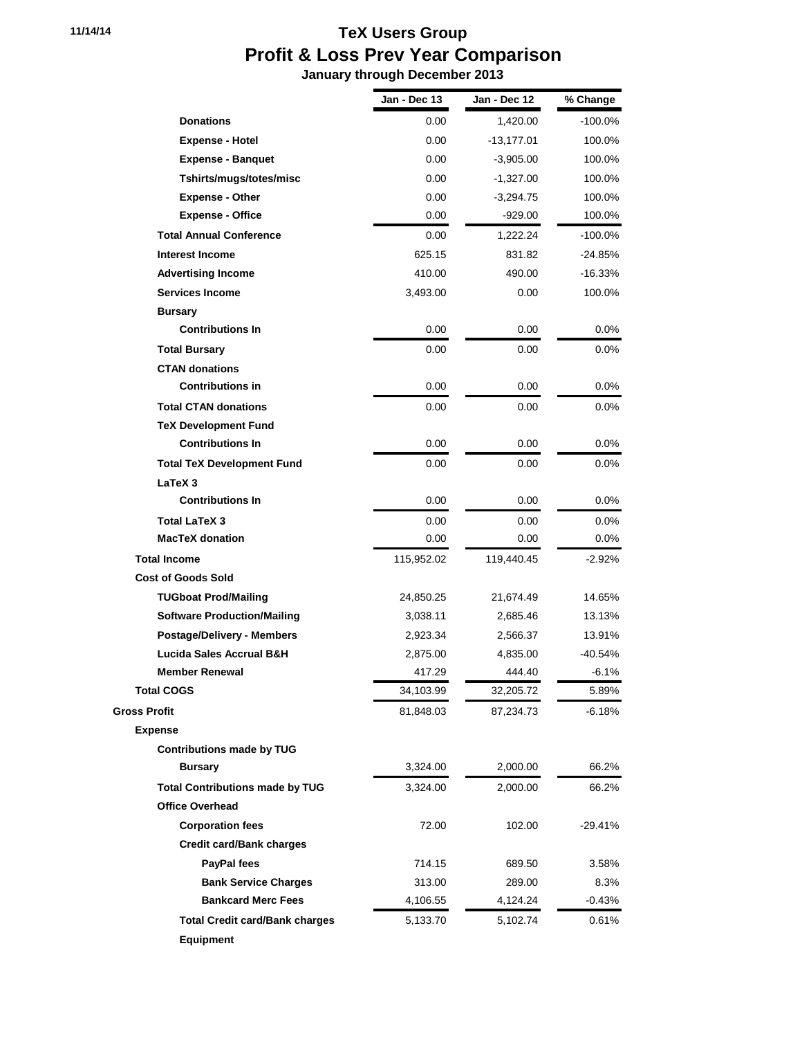## **11/14/14 TeX Users Group Profit & Loss Prev Year Comparison**

 **January through December 2013**

|                                                           | Jan - Dec 13 | Jan - Dec 12 | % Change   |
|-----------------------------------------------------------|--------------|--------------|------------|
| <b>Donations</b>                                          | 0.00         | 1,420.00     | $-100.0\%$ |
| <b>Expense - Hotel</b>                                    | 0.00         | $-13,177.01$ | 100.0%     |
| <b>Expense - Banquet</b>                                  | 0.00         | $-3,905.00$  | 100.0%     |
| Tshirts/mugs/totes/misc                                   | 0.00         | $-1,327.00$  | 100.0%     |
| <b>Expense - Other</b>                                    | 0.00         | $-3,294.75$  | 100.0%     |
| <b>Expense - Office</b>                                   | 0.00         | -929.00      | 100.0%     |
| <b>Total Annual Conference</b>                            | 0.00         | 1,222.24     | $-100.0\%$ |
| <b>Interest Income</b>                                    | 625.15       | 831.82       | $-24.85%$  |
| <b>Advertising Income</b>                                 | 410.00       | 490.00       | $-16.33%$  |
| <b>Services Income</b>                                    | 3,493.00     | 0.00         | 100.0%     |
| <b>Bursary</b>                                            |              |              |            |
| <b>Contributions In</b>                                   | 0.00         | 0.00         | $0.0\%$    |
| <b>Total Bursary</b>                                      | 0.00         | 0.00         | $0.0\%$    |
| <b>CTAN donations</b>                                     |              |              |            |
| <b>Contributions in</b>                                   | 0.00         | 0.00         | $0.0\%$    |
| <b>Total CTAN donations</b>                               | 0.00         | 0.00         | $0.0\%$    |
| <b>TeX Development Fund</b>                               |              |              |            |
| <b>Contributions In</b>                                   | 0.00         | 0.00         | $0.0\%$    |
| <b>Total TeX Development Fund</b>                         | 0.00         | 0.00         | $0.0\%$    |
| LaTeX 3                                                   |              |              |            |
| <b>Contributions In</b>                                   | 0.00         | 0.00         | $0.0\%$    |
| <b>Total LaTeX 3</b>                                      | 0.00         | 0.00         | $0.0\%$    |
| <b>MacTeX donation</b>                                    | 0.00         | 0.00         | $0.0\%$    |
| <b>Total Income</b>                                       | 115,952.02   | 119,440.45   | $-2.92%$   |
| <b>Cost of Goods Sold</b>                                 |              |              |            |
| <b>TUGboat Prod/Mailing</b>                               | 24,850.25    | 21,674.49    | 14.65%     |
| <b>Software Production/Mailing</b>                        | 3,038.11     | 2.685.46     | 13.13%     |
| <b>Postage/Delivery - Members</b>                         | 2,923.34     | 2,566.37     | 13.91%     |
| Lucida Sales Accrual B&H                                  | 2,875.00     | 4,835.00     | $-40.54%$  |
| <b>Member Renewal</b>                                     | 417.29       | 444.40       | $-6.1%$    |
| <b>Total COGS</b>                                         | 34,103.99    | 32,205.72    | 5.89%      |
| <b>Gross Profit</b>                                       | 81,848.03    | 87,234.73    | $-6.18%$   |
| <b>Expense</b>                                            |              |              |            |
| <b>Contributions made by TUG</b>                          |              |              |            |
| <b>Bursary</b>                                            | 3,324.00     | 2,000.00     | 66.2%      |
| <b>Total Contributions made by TUG</b>                    | 3,324.00     | 2,000.00     | 66.2%      |
| <b>Office Overhead</b>                                    |              |              |            |
| <b>Corporation fees</b>                                   | 72.00        | 102.00       | -29.41%    |
| <b>Credit card/Bank charges</b>                           |              |              |            |
| PayPal fees                                               | 714.15       | 689.50       | 3.58%      |
| <b>Bank Service Charges</b>                               | 313.00       | 289.00       | 8.3%       |
| <b>Bankcard Merc Fees</b>                                 | 4,106.55     | 4,124.24     | $-0.43%$   |
| <b>Total Credit card/Bank charges</b><br><b>Equipment</b> | 5,133.70     | 5,102.74     | 0.61%      |